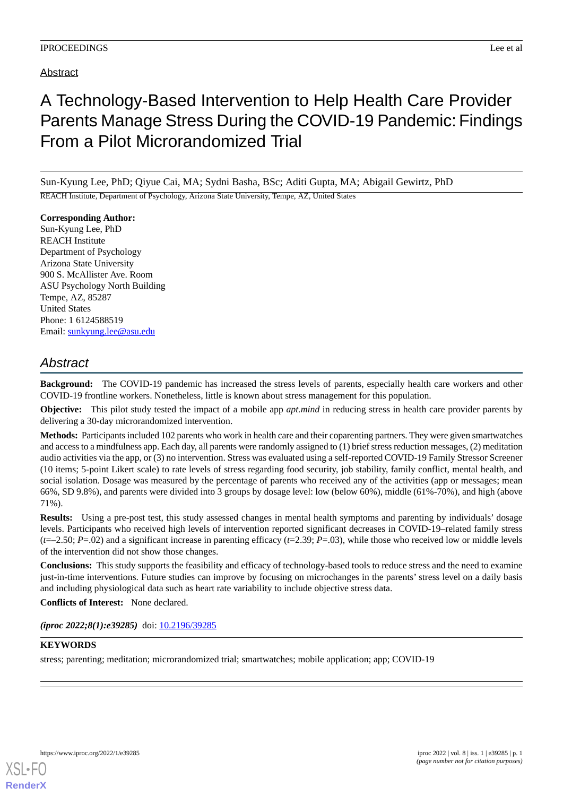## Abstract

# A Technology-Based Intervention to Help Health Care Provider Parents Manage Stress During the COVID-19 Pandemic: Findings From a Pilot Microrandomized Trial

Sun-Kyung Lee, PhD; Qiyue Cai, MA; Sydni Basha, BSc; Aditi Gupta, MA; Abigail Gewirtz, PhD REACH Institute, Department of Psychology, Arizona State University, Tempe, AZ, United States

**Corresponding Author:** Sun-Kyung Lee, PhD REACH Institute Department of Psychology Arizona State University 900 S. McAllister Ave. Room ASU Psychology North Building Tempe, AZ, 85287 United States Phone: 1 6124588519 Email: [sunkyung.lee@asu.edu](mailto:sunkyung.lee@asu.edu)

## *Abstract*

**Background:** The COVID-19 pandemic has increased the stress levels of parents, especially health care workers and other COVID-19 frontline workers. Nonetheless, little is known about stress management for this population.

**Objective:** This pilot study tested the impact of a mobile app *apt.mind* in reducing stress in health care provider parents by delivering a 30-day microrandomized intervention.

**Methods:** Participants included 102 parents who work in health care and their coparenting partners. They were given smartwatches and access to a mindfulness app. Each day, all parents were randomly assigned to (1) brief stress reduction messages, (2) meditation audio activities via the app, or (3) no intervention. Stress was evaluated using a self-reported COVID-19 Family Stressor Screener (10 items; 5-point Likert scale) to rate levels of stress regarding food security, job stability, family conflict, mental health, and social isolation. Dosage was measured by the percentage of parents who received any of the activities (app or messages; mean 66%, SD 9.8%), and parents were divided into 3 groups by dosage level: low (below 60%), middle (61%-70%), and high (above 71%).

**Results:** Using a pre-post test, this study assessed changes in mental health symptoms and parenting by individuals' dosage levels. Participants who received high levels of intervention reported significant decreases in COVID-19–related family stress  $(t=-2.50; P=0.02)$  and a significant increase in parenting efficacy  $(t=2.39; P=0.03)$ , while those who received low or middle levels of the intervention did not show those changes.

**Conclusions:** This study supports the feasibility and efficacy of technology-based tools to reduce stress and the need to examine just-in-time interventions. Future studies can improve by focusing on microchanges in the parents' stress level on a daily basis and including physiological data such as heart rate variability to include objective stress data.

**Conflicts of Interest:** None declared.

*(iproc 2022;8(1):e39285)* doi:  $10.2196/39285$ 

### **KEYWORDS**

stress; parenting; meditation; microrandomized trial; smartwatches; mobile application; app; COVID-19